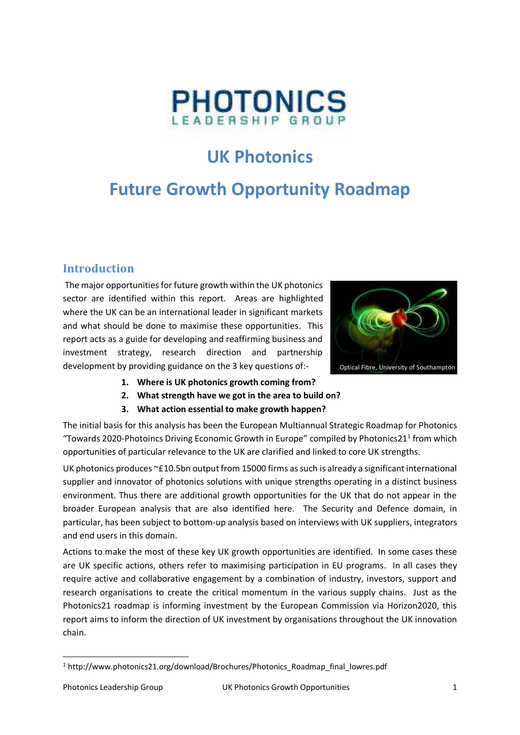

# **UK Photonics**

# **Future Growth Opportunity Roadmap**

#### **Introduction**

The major opportunities for future growth within the UK photonics sector are identified within this report. Areas are highlighted where the UK can be an international leader in significant markets and what should be done to maximise these opportunities. This report acts as a guide for developing and reaffirming business and investment strategy, research direction and partnership development by providing guidance on the 3 key questions of:-



- **1. Where is UK photonics growth coming from?**
- **2. What strength have we got in the area to build on?**
- **3. What action essential to make growth happen?**

The initial basis for this analysis has been the European Multiannual Strategic Roadmap for Photonics "Towards 2020-Photoincs Driving Economic Growth in Europe" compiled by Photonics21<sup>1</sup> from which opportunities of particular relevance to the UK are clarified and linked to core UK strengths.

UK photonics produces ~£10.5bn output from 15000 firms as such is already a significant international supplier and innovator of photonics solutions with unique strengths operating in a distinct business environment. Thus there are additional growth opportunities for the UK that do not appear in the broader European analysis that are also identified here. The Security and Defence domain, in particular, has been subject to bottom-up analysis based on interviews with UK suppliers, integrators and end users in this domain.

Actions to make the most of these key UK growth opportunities are identified. In some cases these are UK specific actions, others refer to maximising participation in EU programs. In all cases they require active and collaborative engagement by a combination of industry, investors, support and research organisations to create the critical momentum in the various supply chains. Just as the Photonics21 roadmap is informing investment by the European Commission via Horizon2020, this report aims to inform the direction of UK investment by organisations throughout the UK innovation chain.

**.** 

<sup>&</sup>lt;sup>1</sup> http://www.photonics21.org/download/Brochures/Photonics\_Roadmap\_final\_lowres.pdf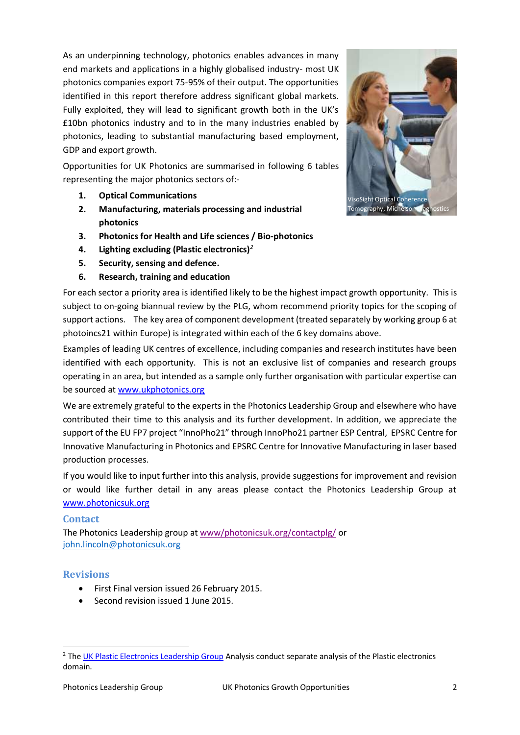As an underpinning technology, photonics enables advances in many end markets and applications in a highly globalised industry- most UK photonics companies export 75-95% of their output. The opportunities identified in this report therefore address significant global markets. Fully exploited, they will lead to significant growth both in the UK's £10bn photonics industry and to in the many industries enabled by photonics, leading to substantial manufacturing based employment, GDP and export growth.

Opportunities for UK Photonics are summarised in following 6 tables representing the major photonics sectors of:-

- **1. Optical Communications**
- **2. Manufacturing, materials processing and industrial photonics**
- **3. Photonics for Health and Life sciences / Bio-photonics**
- **4. Lighting excluding (Plastic electronics)***<sup>2</sup>*
- **5. Security, sensing and defence.**
- **6. Research, training and education**

For each sector a priority area is identified likely to be the highest impact growth opportunity. This is subject to on-going biannual review by the PLG, whom recommend priority topics for the scoping of support actions. The key area of component development (treated separately by working group 6 at photoincs21 within Europe) is integrated within each of the 6 key domains above.

Examples of leading UK centres of excellence, including companies and research institutes have been identified with each opportunity. This is not an exclusive list of companies and research groups operating in an area, but intended as a sample only further organisation with particular expertise can be sourced at [www.ukphotonics.org](http://www.ukphotonics.org/) 

We are extremely grateful to the experts in the Photonics Leadership Group and elsewhere who have contributed their time to this analysis and its further development. In addition, we appreciate the support of the EU FP7 project "InnoPho21" through InnoPho21 partner ESP Central, EPSRC Centre for Innovative Manufacturing in Photonics and EPSRC Centre for Innovative Manufacturing in laser based production processes.

If you would like to input further into this analysis, provide suggestions for improvement and revision or would like further detail in any areas please contact the Photonics Leadership Group at [www.photonicsuk.org](http://www.photonicsuk.org/)

#### **Contact**

The Photonics Leadership group at [www/photonicsuk.org/contactplg/](http://photonicsuk.org/contactplg/) or [john.lincoln@photonicsuk.org](mailto:john.lincoln@photonicsuk.org)

#### **Revisions**

1

- First Final version issued 26 February 2015.
- Second revision issued 1 June 2015.



<sup>&</sup>lt;sup>2</sup> The [UK Plastic Electronics Leadership Group](http://www.ukplasticelectronics.com/) Analysis conduct separate analysis of the Plastic electronics domain.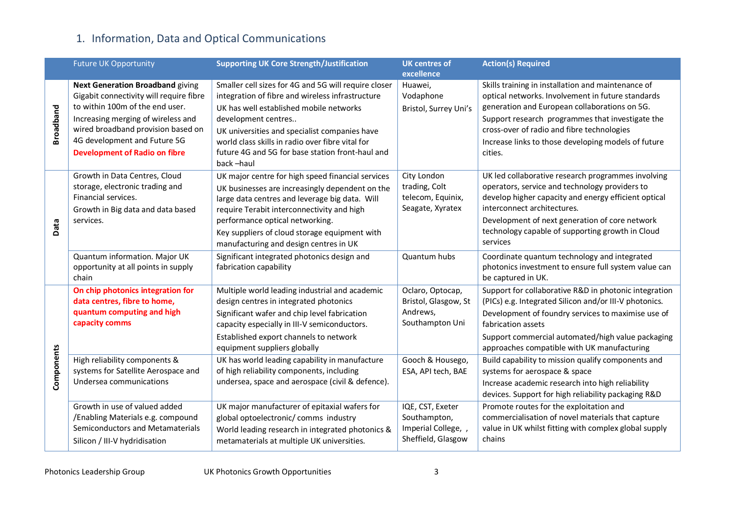# 1. Information, Data and Optical Communications

|                  | <b>Future UK Opportunity</b>                                          | <b>Supporting UK Core Strength/Justification</b>                                              | <b>UK centres of</b>                | <b>Action(s) Required</b>                                                                    |
|------------------|-----------------------------------------------------------------------|-----------------------------------------------------------------------------------------------|-------------------------------------|----------------------------------------------------------------------------------------------|
|                  |                                                                       |                                                                                               | excellence                          |                                                                                              |
|                  | <b>Next Generation Broadband giving</b>                               | Smaller cell sizes for 4G and 5G will require closer                                          | Huawei,                             | Skills training in installation and maintenance of                                           |
|                  | Gigabit connectivity will require fibre                               | integration of fibre and wireless infrastructure                                              | Vodaphone                           | optical networks. Involvement in future standards                                            |
|                  | to within 100m of the end user.                                       | UK has well established mobile networks                                                       | Bristol, Surrey Uni's               | generation and European collaborations on 5G.                                                |
| <b>Broadband</b> | Increasing merging of wireless and                                    | development centres                                                                           |                                     | Support research programmes that investigate the                                             |
|                  | wired broadband provision based on                                    | UK universities and specialist companies have                                                 |                                     | cross-over of radio and fibre technologies                                                   |
|                  | 4G development and Future 5G                                          | world class skills in radio over fibre vital for                                              |                                     | Increase links to those developing models of future                                          |
|                  | <b>Development of Radio on fibre</b>                                  | future 4G and 5G for base station front-haul and                                              |                                     | cities.                                                                                      |
|                  |                                                                       | back-haul                                                                                     |                                     |                                                                                              |
|                  | Growth in Data Centres, Cloud                                         | UK major centre for high speed financial services                                             | City London                         | UK led collaborative research programmes involving                                           |
|                  | storage, electronic trading and                                       | UK businesses are increasingly dependent on the                                               | trading, Colt                       | operators, service and technology providers to                                               |
|                  | Financial services.                                                   | large data centres and leverage big data. Will                                                | telecom, Equinix,                   | develop higher capacity and energy efficient optical                                         |
|                  | Growth in Big data and data based                                     | require Terabit interconnectivity and high                                                    | Seagate, Xyratex                    | interconnect architectures.                                                                  |
| Data             | services.                                                             | performance optical networking.                                                               |                                     | Development of next generation of core network                                               |
|                  |                                                                       | Key suppliers of cloud storage equipment with                                                 |                                     | technology capable of supporting growth in Cloud                                             |
|                  |                                                                       | manufacturing and design centres in UK                                                        |                                     | services                                                                                     |
|                  | Quantum information. Major UK                                         | Significant integrated photonics design and                                                   | Quantum hubs                        | Coordinate quantum technology and integrated                                                 |
|                  | opportunity at all points in supply                                   | fabrication capability                                                                        |                                     | photonics investment to ensure full system value can                                         |
|                  | chain                                                                 |                                                                                               |                                     | be captured in UK.                                                                           |
|                  | On chip photonics integration for                                     | Multiple world leading industrial and academic                                                | Oclaro, Optocap,                    | Support for collaborative R&D in photonic integration                                        |
|                  | data centres, fibre to home,                                          | design centres in integrated photonics                                                        | Bristol, Glasgow, St<br>Andrews,    | (PICs) e.g. Integrated Silicon and/or III-V photonics.                                       |
|                  | quantum computing and high<br>capacity comms                          | Significant wafer and chip level fabrication                                                  | Southampton Uni                     | Development of foundry services to maximise use of                                           |
|                  |                                                                       | capacity especially in III-V semiconductors.                                                  |                                     | fabrication assets                                                                           |
|                  |                                                                       | Established export channels to network                                                        |                                     | Support commercial automated/high value packaging                                            |
| Components       |                                                                       | equipment suppliers globally                                                                  |                                     | approaches compatible with UK manufacturing                                                  |
|                  | High reliability components &                                         | UK has world leading capability in manufacture                                                | Gooch & Housego,                    | Build capability to mission qualify components and                                           |
|                  | systems for Satellite Aerospace and<br>Undersea communications        | of high reliability components, including<br>undersea, space and aerospace (civil & defence). | ESA, API tech, BAE                  | systems for aerospace & space                                                                |
|                  |                                                                       |                                                                                               |                                     | Increase academic research into high reliability                                             |
|                  |                                                                       |                                                                                               |                                     | devices. Support for high reliability packaging R&D                                          |
|                  | Growth in use of valued added                                         | UK major manufacturer of epitaxial wafers for                                                 | IQE, CST, Exeter                    | Promote routes for the exploitation and<br>commercialisation of novel materials that capture |
|                  | /Enabling Materials e.g. compound<br>Semiconductors and Metamaterials | global optoelectronic/ comms industry                                                         | Southampton,<br>Imperial College, , | value in UK whilst fitting with complex global supply                                        |
|                  |                                                                       | World leading research in integrated photonics &                                              | Sheffield, Glasgow                  | chains                                                                                       |
|                  | Silicon / III-V hydridisation                                         | metamaterials at multiple UK universities.                                                    |                                     |                                                                                              |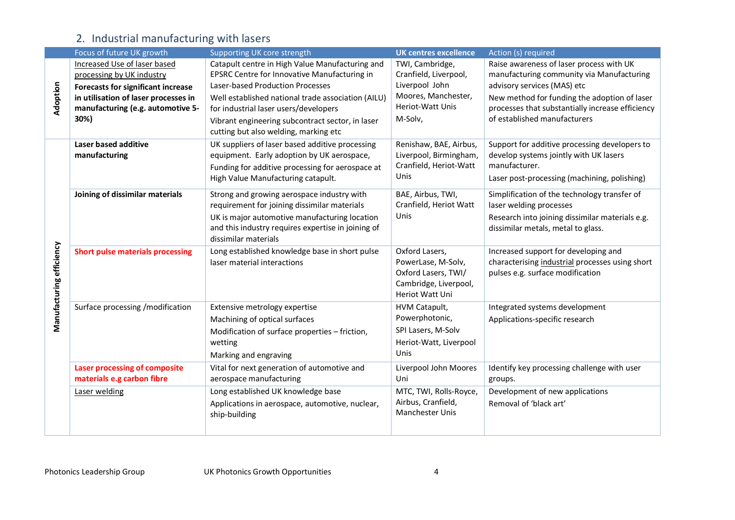# 2. Industrial manufacturing with lasers

|                          | Focus of future UK growth                                                                              | Supporting UK core strength                                                                                                                                                                                               | <b>UK centres excellence</b>                                                                                   | Action (s) required                                                                                                                                              |
|--------------------------|--------------------------------------------------------------------------------------------------------|---------------------------------------------------------------------------------------------------------------------------------------------------------------------------------------------------------------------------|----------------------------------------------------------------------------------------------------------------|------------------------------------------------------------------------------------------------------------------------------------------------------------------|
| Adoption                 | Increased Use of laser based<br>processing by UK industry<br><b>Forecasts for significant increase</b> | Catapult centre in High Value Manufacturing and<br>EPSRC Centre for Innovative Manufacturing in<br>Laser-based Production Processes                                                                                       | TWI, Cambridge,<br>Cranfield, Liverpool,<br>Liverpool John                                                     | Raise awareness of laser process with UK<br>manufacturing community via Manufacturing<br>advisory services (MAS) etc                                             |
|                          | in utilisation of laser processes in<br>manufacturing (e.g. automotive 5-<br>30%)                      | Well established national trade association (AILU)<br>for industrial laser users/developers<br>Vibrant engineering subcontract sector, in laser<br>cutting but also welding, marking etc                                  | Moores, Manchester,<br>Heriot-Watt Unis<br>M-Solv,                                                             | New method for funding the adoption of laser<br>processes that substantially increase efficiency<br>of established manufacturers                                 |
|                          | Laser based additive<br>manufacturing                                                                  | UK suppliers of laser based additive processing<br>equipment. Early adoption by UK aerospace,<br>Funding for additive processing for aerospace at<br>High Value Manufacturing catapult.                                   | Renishaw, BAE, Airbus,<br>Liverpool, Birmingham,<br>Cranfield, Heriot-Watt<br>Unis                             | Support for additive processing developers to<br>develop systems jointly with UK lasers<br>manufacturer.<br>Laser post-processing (machining, polishing)         |
| Manufacturing efficiency | Joining of dissimilar materials                                                                        | Strong and growing aerospace industry with<br>requirement for joining dissimilar materials<br>UK is major automotive manufacturing location<br>and this industry requires expertise in joining of<br>dissimilar materials | BAE, Airbus, TWI,<br>Cranfield, Heriot Watt<br>Unis                                                            | Simplification of the technology transfer of<br>laser welding processes<br>Research into joining dissimilar materials e.g.<br>dissimilar metals, metal to glass. |
|                          | <b>Short pulse materials processing</b>                                                                | Long established knowledge base in short pulse<br>laser material interactions                                                                                                                                             | Oxford Lasers,<br>PowerLase, M-Solv,<br>Oxford Lasers, TWI/<br>Cambridge, Liverpool,<br><b>Heriot Watt Uni</b> | Increased support for developing and<br>characterising industrial processes using short<br>pulses e.g. surface modification                                      |
|                          | Surface processing /modification                                                                       | Extensive metrology expertise<br>Machining of optical surfaces<br>Modification of surface properties - friction,<br>wetting<br>Marking and engraving                                                                      | HVM Catapult,<br>Powerphotonic,<br>SPI Lasers, M-Solv<br>Heriot-Watt, Liverpool<br>Unis                        | Integrated systems development<br>Applications-specific research                                                                                                 |
|                          | <b>Laser processing of composite</b><br>materials e.g carbon fibre                                     | Vital for next generation of automotive and<br>aerospace manufacturing                                                                                                                                                    | Liverpool John Moores<br>Uni                                                                                   | Identify key processing challenge with user<br>groups.                                                                                                           |
|                          | Laser welding                                                                                          | Long established UK knowledge base<br>Applications in aerospace, automotive, nuclear,<br>ship-building                                                                                                                    | MTC, TWI, Rolls-Royce,<br>Airbus, Cranfield,<br>Manchester Unis                                                | Development of new applications<br>Removal of 'black art'                                                                                                        |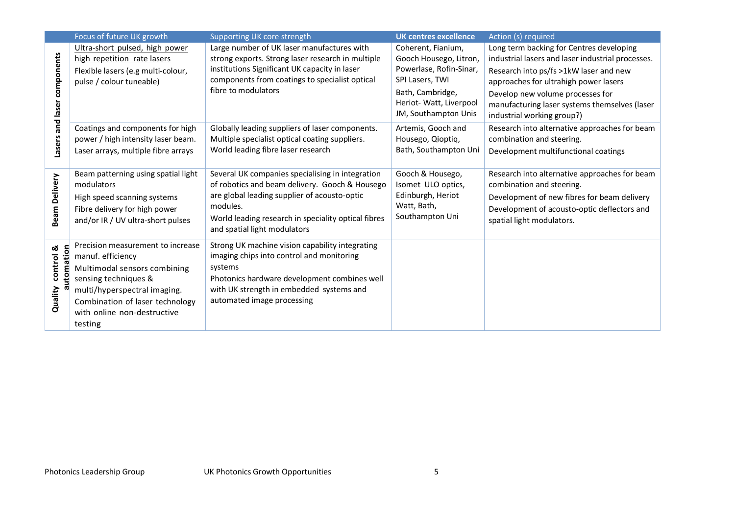|                             | Focus of future UK growth           | Supporting UK core strength                         | <b>UK centres excellence</b> | Action (s) required                               |
|-----------------------------|-------------------------------------|-----------------------------------------------------|------------------------------|---------------------------------------------------|
|                             | Ultra-short pulsed, high power      | Large number of UK laser manufactures with          | Coherent, Fianium,           | Long term backing for Centres developing          |
|                             | high repetition rate lasers         | strong exports. Strong laser research in multiple   | Gooch Housego, Litron,       | industrial lasers and laser industrial processes. |
|                             | Flexible lasers (e.g multi-colour,  | institutions Significant UK capacity in laser       | Powerlase, Rofin-Sinar,      | Research into ps/fs >1kW laser and new            |
|                             | pulse / colour tuneable)            | components from coatings to specialist optical      | SPI Lasers, TWI              | approaches for ultrahigh power lasers             |
|                             |                                     | fibre to modulators                                 | Bath, Cambridge,             | Develop new volume processes for                  |
|                             |                                     |                                                     | Heriot- Watt, Liverpool      | manufacturing laser systems themselves (laser     |
|                             |                                     |                                                     | JM, Southampton Unis         | industrial working group?)                        |
| Lasers and laser components | Coatings and components for high    | Globally leading suppliers of laser components.     | Artemis, Gooch and           | Research into alternative approaches for beam     |
|                             | power / high intensity laser beam.  | Multiple specialist optical coating suppliers.      | Housego, Qioptiq,            | combination and steering.                         |
|                             | Laser arrays, multiple fibre arrays | World leading fibre laser research                  | Bath, Southampton Uni        | Development multifunctional coatings              |
|                             |                                     |                                                     |                              |                                                   |
|                             | Beam patterning using spatial light | Several UK companies specialising in integration    | Gooch & Housego,             | Research into alternative approaches for beam     |
|                             | modulators                          | of robotics and beam delivery. Gooch & Housego      | Isomet ULO optics,           | combination and steering.                         |
| <b>Beam Delivery</b>        | High speed scanning systems         | are global leading supplier of acousto-optic        | Edinburgh, Heriot            | Development of new fibres for beam delivery       |
|                             | Fibre delivery for high power       | modules.                                            | Watt, Bath,                  | Development of acousto-optic deflectors and       |
|                             | and/or IR / UV ultra-short pulses   | World leading research in speciality optical fibres | Southampton Uni              | spatial light modulators.                         |
|                             |                                     | and spatial light modulators                        |                              |                                                   |
|                             | Precision measurement to increase   | Strong UK machine vision capability integrating     |                              |                                                   |
| ation<br>control &          | manuf. efficiency                   | imaging chips into control and monitoring           |                              |                                                   |
|                             | Multimodal sensors combining        | systems                                             |                              |                                                   |
|                             | sensing techniques &                | Photonics hardware development combines well        |                              |                                                   |
|                             | multi/hyperspectral imaging.        | with UK strength in embedded systems and            |                              |                                                   |
| Quality                     | Combination of laser technology     | automated image processing                          |                              |                                                   |
|                             | with online non-destructive         |                                                     |                              |                                                   |
|                             | testing                             |                                                     |                              |                                                   |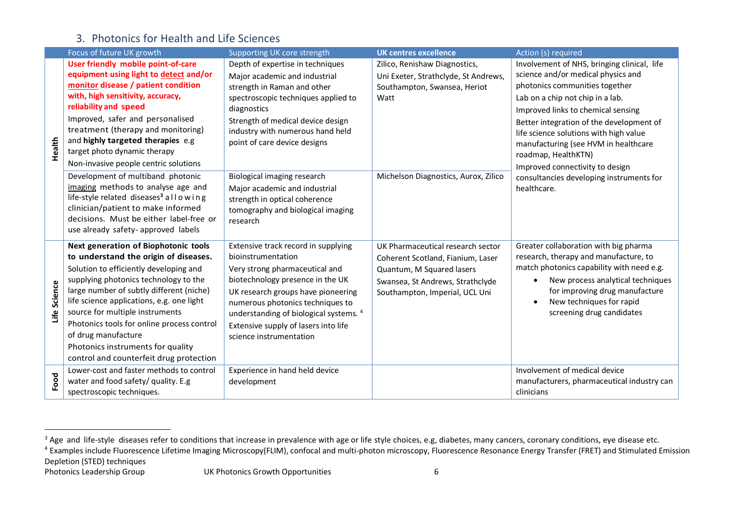#### 3. Photonics for Health and Life Sciences

|              | Focus of future UK growth                                                               | Supporting UK core strength                                        | <b>UK centres excellence</b>         | Action (s) required                         |
|--------------|-----------------------------------------------------------------------------------------|--------------------------------------------------------------------|--------------------------------------|---------------------------------------------|
|              | User friendly mobile point-of-care                                                      | Depth of expertise in techniques                                   | Zilico, Renishaw Diagnostics,        | Involvement of NHS, bringing clinical, life |
|              | equipment using light to detect and/or                                                  | Major academic and industrial                                      | Uni Exeter, Strathclyde, St Andrews, | science and/or medical physics and          |
|              | monitor disease / patient condition                                                     | strength in Raman and other                                        | Southampton, Swansea, Heriot         | photonics communities together              |
|              | with, high sensitivity, accuracy,                                                       | spectroscopic techniques applied to                                | Watt                                 | Lab on a chip not chip in a lab.            |
|              | reliability and speed                                                                   | diagnostics                                                        |                                      | Improved links to chemical sensing          |
|              | Improved, safer and personalised                                                        | Strength of medical device design                                  |                                      | Better integration of the development of    |
|              | treatment (therapy and monitoring)                                                      | industry with numerous hand held                                   |                                      | life science solutions with high value      |
| Health       | and highly targeted therapies e.g<br>target photo dynamic therapy                       | point of care device designs                                       |                                      | manufacturing (see HVM in healthcare        |
|              |                                                                                         |                                                                    |                                      | roadmap, HealthKTN)                         |
|              | Non-invasive people centric solutions                                                   |                                                                    |                                      | Improved connectivity to design             |
|              | Development of multiband photonic                                                       | Biological imaging research                                        | Michelson Diagnostics, Aurox, Zilico | consultancies developing instruments for    |
|              | imaging methods to analyse age and<br>life-style related diseases <sup>3</sup> allowing | Major academic and industrial                                      |                                      | healthcare.                                 |
|              | clinician/patient to make informed                                                      | strength in optical coherence<br>tomography and biological imaging |                                      |                                             |
|              | decisions. Must be either label-free or                                                 | research                                                           |                                      |                                             |
|              | use already safety- approved labels                                                     |                                                                    |                                      |                                             |
|              | Next generation of Biophotonic tools                                                    | Extensive track record in supplying                                | UK Pharmaceutical research sector    | Greater collaboration with big pharma       |
|              | to understand the origin of diseases.                                                   | bioinstrumentation                                                 | Coherent Scotland, Fianium, Laser    | research, therapy and manufacture, to       |
|              | Solution to efficiently developing and                                                  | Very strong pharmaceutical and                                     | Quantum, M Squared lasers            | match photonics capability with need e.g.   |
|              | supplying photonics technology to the                                                   | biotechnology presence in the UK                                   | Swansea, St Andrews, Strathclyde     | New process analytical techniques           |
| Life Science | large number of subtly different (niche)                                                | UK research groups have pioneering                                 | Southampton, Imperial, UCL Uni       | for improving drug manufacture              |
|              | life science applications, e.g. one light                                               | numerous photonics techniques to                                   |                                      | New techniques for rapid                    |
|              | source for multiple instruments                                                         | understanding of biological systems. 4                             |                                      | screening drug candidates                   |
|              | Photonics tools for online process control                                              | Extensive supply of lasers into life                               |                                      |                                             |
|              | of drug manufacture                                                                     | science instrumentation                                            |                                      |                                             |
|              | Photonics instruments for quality                                                       |                                                                    |                                      |                                             |
|              | control and counterfeit drug protection                                                 |                                                                    |                                      |                                             |
|              | Lower-cost and faster methods to control                                                | Experience in hand held device                                     |                                      | Involvement of medical device               |
| Food         | water and food safety/ quality. E.g                                                     | development                                                        |                                      | manufacturers, pharmaceutical industry can  |
|              | spectroscopic techniques.                                                               |                                                                    |                                      | clinicians                                  |

Depletion (STED) techniques

 $\overline{a}$ 

 $^3$  Age and life-style diseases refer to conditions that increase in prevalence with age or life style choices, e.g, diabetes, many cancers, coronary conditions, eye disease etc.

<sup>&</sup>lt;sup>4</sup> Examples include Fluorescence Lifetime Imaging Microscopy(FLIM), confocal and multi-photon microscopy, Fluorescence Resonance Energy Transfer (FRET) and Stimulated Emission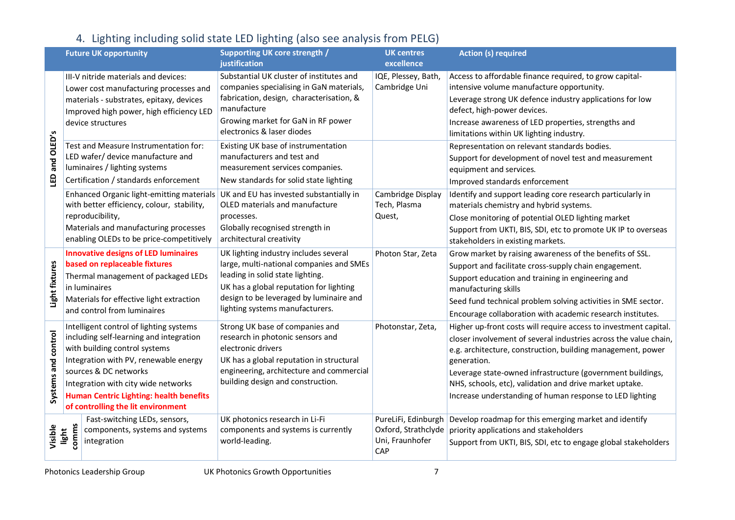# 4. Lighting including solid state LED lighting (also see analysis from PELG)

|                     |                | <b>Future UK opportunity</b>                                             | <b>Supporting UK core strength /</b>                                               | <b>UK centres</b>      | <b>Action (s) required</b>                                                                      |
|---------------------|----------------|--------------------------------------------------------------------------|------------------------------------------------------------------------------------|------------------------|-------------------------------------------------------------------------------------------------|
|                     |                |                                                                          | justification                                                                      | excellence             |                                                                                                 |
|                     |                | III-V nitride materials and devices:                                     | Substantial UK cluster of institutes and                                           | IQE, Plessey, Bath,    | Access to affordable finance required, to grow capital-                                         |
|                     |                | Lower cost manufacturing processes and                                   | companies specialising in GaN materials,                                           | Cambridge Uni          | intensive volume manufacture opportunity.                                                       |
|                     |                | materials - substrates, epitaxy, devices                                 | fabrication, design, characterisation, &<br>manufacture                            |                        | Leverage strong UK defence industry applications for low                                        |
|                     |                | Improved high power, high efficiency LED                                 | Growing market for GaN in RF power                                                 |                        | defect, high-power devices.                                                                     |
| S                   |                | device structures                                                        | electronics & laser diodes                                                         |                        | Increase awareness of LED properties, strengths and<br>limitations within UK lighting industry. |
|                     |                | Test and Measure Instrumentation for:                                    | Existing UK base of instrumentation                                                |                        | Representation on relevant standards bodies.                                                    |
|                     |                | LED wafer/ device manufacture and                                        | manufacturers and test and                                                         |                        | Support for development of novel test and measurement                                           |
|                     |                | luminaires / lighting systems                                            | measurement services companies.                                                    |                        | equipment and services.                                                                         |
| LED and OLED'       |                | Certification / standards enforcement                                    | New standards for solid state lighting                                             |                        | Improved standards enforcement                                                                  |
|                     |                | Enhanced Organic light-emitting materials                                | UK and EU has invested substantially in                                            | Cambridge Display      | Identify and support leading core research particularly in                                      |
|                     |                | with better efficiency, colour, stability,                               | OLED materials and manufacture                                                     | Tech, Plasma           | materials chemistry and hybrid systems.                                                         |
|                     |                | reproducibility,                                                         | processes.                                                                         | Quest,                 | Close monitoring of potential OLED lighting market                                              |
|                     |                | Materials and manufacturing processes                                    | Globally recognised strength in                                                    |                        | Support from UKTI, BIS, SDI, etc to promote UK IP to overseas                                   |
|                     |                | enabling OLEDs to be price-competitively                                 | architectural creativity                                                           |                        | stakeholders in existing markets.                                                               |
|                     |                | <b>Innovative designs of LED luminaires</b>                              | UK lighting industry includes several                                              | Photon Star, Zeta      | Grow market by raising awareness of the benefits of SSL.                                        |
|                     |                | based on replaceable fixtures                                            | large, multi-national companies and SMEs                                           |                        | Support and facilitate cross-supply chain engagement.                                           |
| Light fixtures      |                | Thermal management of packaged LEDs                                      | leading in solid state lighting.                                                   |                        | Support education and training in engineering and                                               |
|                     |                | in luminaires                                                            | UK has a global reputation for lighting<br>design to be leveraged by luminaire and |                        | manufacturing skills                                                                            |
|                     |                | Materials for effective light extraction<br>and control from luminaires  | lighting systems manufacturers.                                                    |                        | Seed fund technical problem solving activities in SME sector.                                   |
|                     |                |                                                                          |                                                                                    |                        | Encourage collaboration with academic research institutes.                                      |
|                     |                | Intelligent control of lighting systems                                  | Strong UK base of companies and                                                    | Photonstar, Zeta,      | Higher up-front costs will require access to investment capital.                                |
|                     |                | including self-learning and integration<br>with building control systems | research in photonic sensors and<br>electronic drivers                             |                        | closer involvement of several industries across the value chain,                                |
|                     |                | Integration with PV, renewable energy                                    | UK has a global reputation in structural                                           |                        | e.g. architecture, construction, building management, power<br>generation.                      |
|                     |                | sources & DC networks                                                    | engineering, architecture and commercial                                           |                        | Leverage state-owned infrastructure (government buildings,                                      |
| Systems and control |                | Integration with city wide networks                                      | building design and construction.                                                  |                        | NHS, schools, etc), validation and drive market uptake.                                         |
|                     |                | <b>Human Centric Lighting: health benefits</b>                           |                                                                                    |                        | Increase understanding of human response to LED lighting                                        |
|                     |                | of controlling the lit environment                                       |                                                                                    |                        |                                                                                                 |
|                     |                | Fast-switching LEDs, sensors,                                            | UK photonics research in Li-Fi                                                     |                        | PureLiFi, Edinburgh   Develop roadmap for this emerging market and identify                     |
| Visible             | comms<br>light | components, systems and systems                                          | components and systems is currently                                                |                        | Oxford, Strathclyde   priority applications and stakeholders                                    |
|                     |                | integration                                                              | world-leading.                                                                     | Uni, Fraunhofer<br>CAP | Support from UKTI, BIS, SDI, etc to engage global stakeholders                                  |
|                     |                |                                                                          |                                                                                    |                        |                                                                                                 |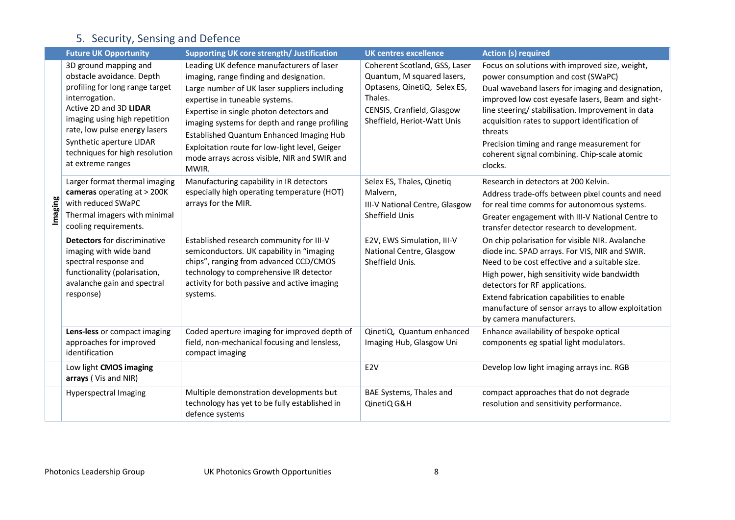# 5. Security, Sensing and Defence

|        | <b>Future UK Opportunity</b>                                                                                                                                                                                                                                                           | <b>Supporting UK core strength/ Justification</b>                                                                                                                                                                                                                                                                                                                                                                                 | <b>UK centres excellence</b>                                                                                                                                        | <b>Action (s) required</b>                                                                                                                                                                                                                                                                                                                                                                                                |
|--------|----------------------------------------------------------------------------------------------------------------------------------------------------------------------------------------------------------------------------------------------------------------------------------------|-----------------------------------------------------------------------------------------------------------------------------------------------------------------------------------------------------------------------------------------------------------------------------------------------------------------------------------------------------------------------------------------------------------------------------------|---------------------------------------------------------------------------------------------------------------------------------------------------------------------|---------------------------------------------------------------------------------------------------------------------------------------------------------------------------------------------------------------------------------------------------------------------------------------------------------------------------------------------------------------------------------------------------------------------------|
| maging | 3D ground mapping and<br>obstacle avoidance. Depth<br>profiling for long range target<br>interrogation.<br>Active 2D and 3D LIDAR<br>imaging using high repetition<br>rate, low pulse energy lasers<br>Synthetic aperture LIDAR<br>techniques for high resolution<br>at extreme ranges | Leading UK defence manufacturers of laser<br>imaging, range finding and designation.<br>Large number of UK laser suppliers including<br>expertise in tuneable systems.<br>Expertise in single photon detectors and<br>imaging systems for depth and range profiling<br><b>Established Quantum Enhanced Imaging Hub</b><br>Exploitation route for low-light level, Geiger<br>mode arrays across visible, NIR and SWIR and<br>MWIR. | Coherent Scotland, GSS, Laser<br>Quantum, M squared lasers,<br>Optasens, QinetiQ, Selex ES,<br>Thales.<br>CENSIS, Cranfield, Glasgow<br>Sheffield, Heriot-Watt Unis | Focus on solutions with improved size, weight,<br>power consumption and cost (SWaPC)<br>Dual waveband lasers for imaging and designation,<br>improved low cost eyesafe lasers, Beam and sight-<br>line steering/ stabilisation. Improvement in data<br>acquisition rates to support identification of<br>threats<br>Precision timing and range measurement for<br>coherent signal combining. Chip-scale atomic<br>clocks. |
|        | Larger format thermal imaging<br>cameras operating at > 200K<br>with reduced SWaPC<br>Thermal imagers with minimal<br>cooling requirements.                                                                                                                                            | Manufacturing capability in IR detectors<br>especially high operating temperature (HOT)<br>arrays for the MIR.                                                                                                                                                                                                                                                                                                                    | Selex ES, Thales, Qinetiq<br>Malvern.<br>III-V National Centre, Glasgow<br>Sheffield Unis                                                                           | Research in detectors at 200 Kelvin.<br>Address trade-offs between pixel counts and need<br>for real time comms for autonomous systems.<br>Greater engagement with III-V National Centre to<br>transfer detector research to development.                                                                                                                                                                                 |
|        | <b>Detectors</b> for discriminative<br>imaging with wide band<br>spectral response and<br>functionality (polarisation,<br>avalanche gain and spectral<br>response)                                                                                                                     | Established research community for III-V<br>semiconductors. UK capability in "imaging<br>chips", ranging from advanced CCD/CMOS<br>technology to comprehensive IR detector<br>activity for both passive and active imaging<br>systems.                                                                                                                                                                                            | E2V, EWS Simulation, III-V<br>National Centre, Glasgow<br>Sheffield Unis.                                                                                           | On chip polarisation for visible NIR. Avalanche<br>diode inc. SPAD arrays. For VIS, NIR and SWIR.<br>Need to be cost effective and a suitable size.<br>High power, high sensitivity wide bandwidth<br>detectors for RF applications.<br>Extend fabrication capabilities to enable<br>manufacture of sensor arrays to allow exploitation<br>by camera manufacturers.                                                       |
|        | Lens-less or compact imaging<br>approaches for improved<br>identification                                                                                                                                                                                                              | Coded aperture imaging for improved depth of<br>field, non-mechanical focusing and lensless,<br>compact imaging                                                                                                                                                                                                                                                                                                                   | QinetiQ, Quantum enhanced<br>Imaging Hub, Glasgow Uni                                                                                                               | Enhance availability of bespoke optical<br>components eg spatial light modulators.                                                                                                                                                                                                                                                                                                                                        |
|        | Low light CMOS imaging<br>arrays (Vis and NIR)                                                                                                                                                                                                                                         |                                                                                                                                                                                                                                                                                                                                                                                                                                   | E <sub>2V</sub>                                                                                                                                                     | Develop low light imaging arrays inc. RGB                                                                                                                                                                                                                                                                                                                                                                                 |
|        | <b>Hyperspectral Imaging</b>                                                                                                                                                                                                                                                           | Multiple demonstration developments but<br>technology has yet to be fully established in<br>defence systems                                                                                                                                                                                                                                                                                                                       | BAE Systems, Thales and<br>QinetiQ G&H                                                                                                                              | compact approaches that do not degrade<br>resolution and sensitivity performance.                                                                                                                                                                                                                                                                                                                                         |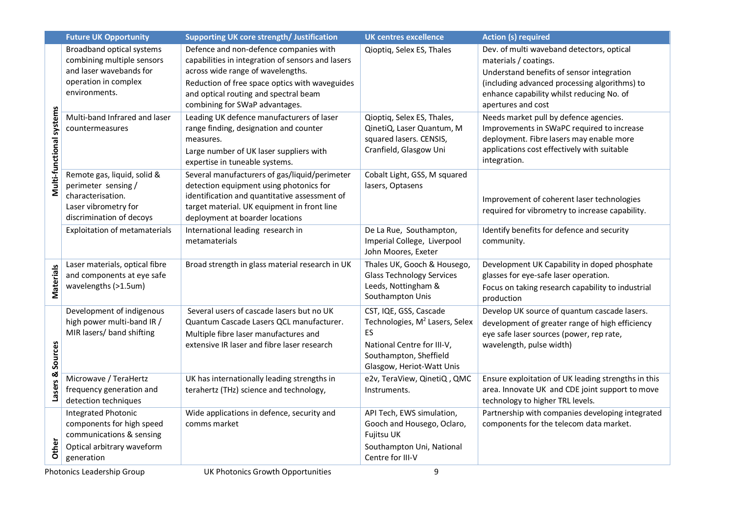|                          | <b>Future UK Opportunity</b>                                                                                                | <b>Supporting UK core strength/ Justification</b>                                                                                                                                                                                                             | <b>UK centres excellence</b>                                                                                                                                    | <b>Action (s) required</b>                                                                                                                                                                                                          |  |
|--------------------------|-----------------------------------------------------------------------------------------------------------------------------|---------------------------------------------------------------------------------------------------------------------------------------------------------------------------------------------------------------------------------------------------------------|-----------------------------------------------------------------------------------------------------------------------------------------------------------------|-------------------------------------------------------------------------------------------------------------------------------------------------------------------------------------------------------------------------------------|--|
| Multi-functional systems | Broadband optical systems<br>combining multiple sensors<br>and laser wavebands for<br>operation in complex<br>environments. | Defence and non-defence companies with<br>capabilities in integration of sensors and lasers<br>across wide range of wavelengths.<br>Reduction of free space optics with waveguides<br>and optical routing and spectral beam<br>combining for SWaP advantages. | Qioptiq, Selex ES, Thales                                                                                                                                       | Dev. of multi waveband detectors, optical<br>materials / coatings.<br>Understand benefits of sensor integration<br>(including advanced processing algorithms) to<br>enhance capability whilst reducing No. of<br>apertures and cost |  |
|                          | Multi-band Infrared and laser<br>countermeasures                                                                            | Leading UK defence manufacturers of laser<br>range finding, designation and counter<br>measures.<br>Large number of UK laser suppliers with<br>expertise in tuneable systems.                                                                                 | Qioptiq, Selex ES, Thales,<br>QinetiQ, Laser Quantum, M<br>squared lasers. CENSIS,<br>Cranfield, Glasgow Uni                                                    | Needs market pull by defence agencies.<br>Improvements in SWaPC required to increase<br>deployment. Fibre lasers may enable more<br>applications cost effectively with suitable<br>integration.                                     |  |
|                          | Remote gas, liquid, solid &<br>perimeter sensing /<br>characterisation.<br>Laser vibrometry for<br>discrimination of decoys | Several manufacturers of gas/liquid/perimeter<br>detection equipment using photonics for<br>identification and quantitative assessment of<br>target material. UK equipment in front line<br>deployment at boarder locations                                   | Cobalt Light, GSS, M squared<br>lasers, Optasens                                                                                                                | Improvement of coherent laser technologies<br>required for vibrometry to increase capability.                                                                                                                                       |  |
|                          | <b>Exploitation of metamaterials</b>                                                                                        | International leading research in<br>metamaterials                                                                                                                                                                                                            | De La Rue, Southampton,<br>Imperial College, Liverpool<br>John Moores, Exeter                                                                                   | Identify benefits for defence and security<br>community.                                                                                                                                                                            |  |
| Materials                | Laser materials, optical fibre<br>and components at eye safe<br>wavelengths (>1.5um)                                        | Broad strength in glass material research in UK                                                                                                                                                                                                               | Thales UK, Gooch & Housego,<br><b>Glass Technology Services</b><br>Leeds, Nottingham &<br>Southampton Unis                                                      | Development UK Capability in doped phosphate<br>glasses for eye-safe laser operation.<br>Focus on taking research capability to industrial<br>production                                                                            |  |
| Sources<br>Lasers &      | Development of indigenous<br>high power multi-band IR /<br>MIR lasers/ band shifting                                        | Several users of cascade lasers but no UK<br>Quantum Cascade Lasers QCL manufacturer.<br>Multiple fibre laser manufactures and<br>extensive IR laser and fibre laser research                                                                                 | CST, IQE, GSS, Cascade<br>Technologies, M <sup>2</sup> Lasers, Selex<br>ES<br>National Centre for III-V,<br>Southampton, Sheffield<br>Glasgow, Heriot-Watt Unis | Develop UK source of quantum cascade lasers.<br>development of greater range of high efficiency<br>eye safe laser sources (power, rep rate,<br>wavelength, pulse width)                                                             |  |
|                          | Microwave / TeraHertz<br>frequency generation and<br>detection techniques                                                   | UK has internationally leading strengths in<br>terahertz (THz) science and technology,                                                                                                                                                                        | e2v, TeraView, QinetiQ, QMC<br>Instruments.                                                                                                                     | Ensure exploitation of UK leading strengths in this<br>area. Innovate UK and CDE joint support to move<br>technology to higher TRL levels.                                                                                          |  |
| Other                    | Integrated Photonic<br>components for high speed<br>communications & sensing<br>Optical arbitrary waveform<br>generation    | Wide applications in defence, security and<br>comms market                                                                                                                                                                                                    | API Tech, EWS simulation,<br>Gooch and Housego, Oclaro,<br>Fujitsu UK<br>Southampton Uni, National<br>Centre for III-V                                          | Partnership with companies developing integrated<br>components for the telecom data market.                                                                                                                                         |  |
|                          | 9<br>UK Photonics Growth Opportunities<br><b>Photonics Leadership Group</b>                                                 |                                                                                                                                                                                                                                                               |                                                                                                                                                                 |                                                                                                                                                                                                                                     |  |